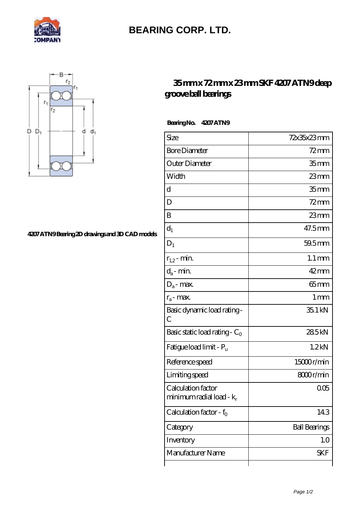

## **[BEARING CORP. LTD.](https://mamzellealacote.com)**



## **[4207 ATN9 Bearing 2D drawings and 3D CAD models](https://mamzellealacote.com/pic-397161.html)**

## **[35 mm x 72 mm x 23 mm SKF 4207 ATN9 deep](https://mamzellealacote.com/af-397161-skf-4207-atn9-deep-groove-ball-bearings.html) [groove ball bearings](https://mamzellealacote.com/af-397161-skf-4207-atn9-deep-groove-ball-bearings.html)**

Bearing No. 4207 ATN9

| Size                                              | 72x35x23mm           |
|---------------------------------------------------|----------------------|
| <b>Bore Diameter</b>                              | $72$ mm              |
| Outer Diameter                                    | 35 <sub>mm</sub>     |
| Width                                             | $23$ mm              |
| d                                                 | 35 <sub>mm</sub>     |
| D                                                 | $72$ mm              |
| B                                                 | $23$ mm              |
| $d_1$                                             | 47.5mm               |
| $D_1$                                             | 59.5mm               |
| $r_{1,2}$ - min.                                  | $1.1 \,\mathrm{mm}$  |
| $d_a$ - min.                                      | $42$ mm              |
| $D_a$ - max.                                      | $65 \text{mm}$       |
| $r_a$ - max.                                      | $1 \,\mathrm{mm}$    |
| Basic dynamic load rating-<br>С                   | 35.1 kN              |
| Basic static load rating - $C_0$                  | 285kN                |
| Fatigue load limit - Pu                           | 1.2 <sub>kN</sub>    |
| Reference speed                                   | 15000r/min           |
| Limiting speed                                    | 8000r/min            |
| Calculation factor<br>minimum radial load - $k_r$ | 005                  |
| Calculation factor - $f_0$                        | 143                  |
| Category                                          | <b>Ball Bearings</b> |
| Inventory                                         | 1.0                  |
| Manufacturer Name                                 | <b>SKF</b>           |
|                                                   |                      |